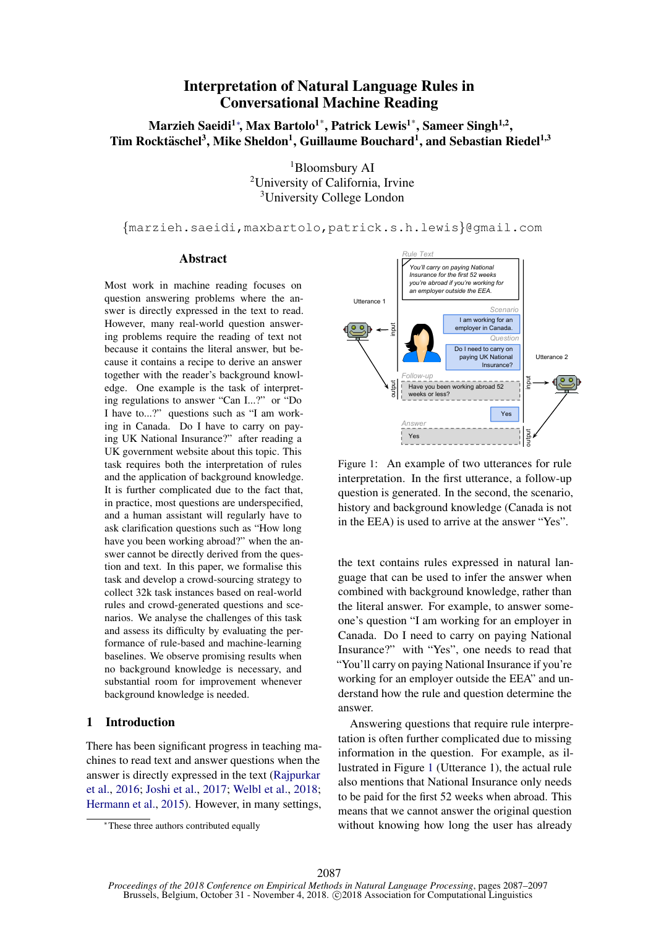#### Interpretation of Natural Language Rules in **Conversational Machine Reading**  $\mathbf{C}$ nterpre<sup>.</sup>

Marzieh Saeidi $^{1*}$ , Max Bartolo $^{1*}$ , Patrick Lewis $^{1*}$ , Sameer Singh $^{1,2},$ Tim Rocktäschel<sup>3</sup>, Mike Sheldon<sup>1</sup>, Guillaume Bouchard<sup>1</sup>, and Sebastian Riedel<sup>1,3</sup> Have you been working  $\ddot{\phantom{a}}$ 

<sup>1</sup>Bloomsbury AI <sup>2</sup>University of California, Irvine <sup>3</sup>University College London  $\frac{1}{11}$ 

*{*marzieh.saeidi,maxbartolo,patrick.s.h.lewis*}*@gmail.com

#### Abstract

Most work in machine reading focuses on question answering problems where the answer is directly expressed in the text to read. However, many real-world question answering problems require the reading of text not because it contains the literal answer, but because it contains a recipe to derive an answer together with the reader's background knowledge. One example is the task of interpreting regulations to answer "Can I...?" or "Do I have to...?" questions such as "I am working in Canada. Do I have to carry on paying UK National Insurance?" after reading a UK government website about this topic. This task requires both the interpretation of rules and the application of background knowledge. It is further complicated due to the fact that, in practice, most questions are underspecified, and a human assistant will regularly have to ask clarification questions such as "How long have you been working abroad?" when the answer cannot be directly derived from the question and text. In this paper, we formalise this task and develop a crowd-sourcing strategy to collect 32k task instances based on real-world rules and crowd-generated questions and scenarios. We analyse the challenges of this task and assess its difficulty by evaluating the performance of rule-based and machine-learning baselines. We observe promising results when no background knowledge is necessary, and substantial room for improvement whenever background knowledge is needed.

## 1 Introduction

There has been significant progress in teaching machines to read text and answer questions when the answer is directly expressed in the text (Rajpurkar et al., 2016; Joshi et al., 2017; Welbl et al., 2018; Hermann et al., 2015). However, in many settings,



Figure 1: An example of two utterances for rule interpretation. In the first utterance, a follow-up question is generated. In the second, the scenario, history and background knowledge (Canada is not in the EEA) is used to arrive at the answer "Yes".

the text contains rules expressed in natural language that can be used to infer the answer when combined with background knowledge, rather than the literal answer. For example, to answer someone's question "I am working for an employer in Canada. Do I need to carry on paying National Insurance?" with "Yes", one needs to read that "You'll carry on paying National Insurance if you're working for an employer outside the EEA" and understand how the rule and question determine the answer.

Answering questions that require rule interpretation is often further complicated due to missing information in the question. For example, as illustrated in Figure 1 (Utterance 1), the actual rule also mentions that National Insurance only needs to be paid for the first 52 weeks when abroad. This means that we cannot answer the original question without knowing how long the user has already

<sup>⇤</sup>These three authors contributed equally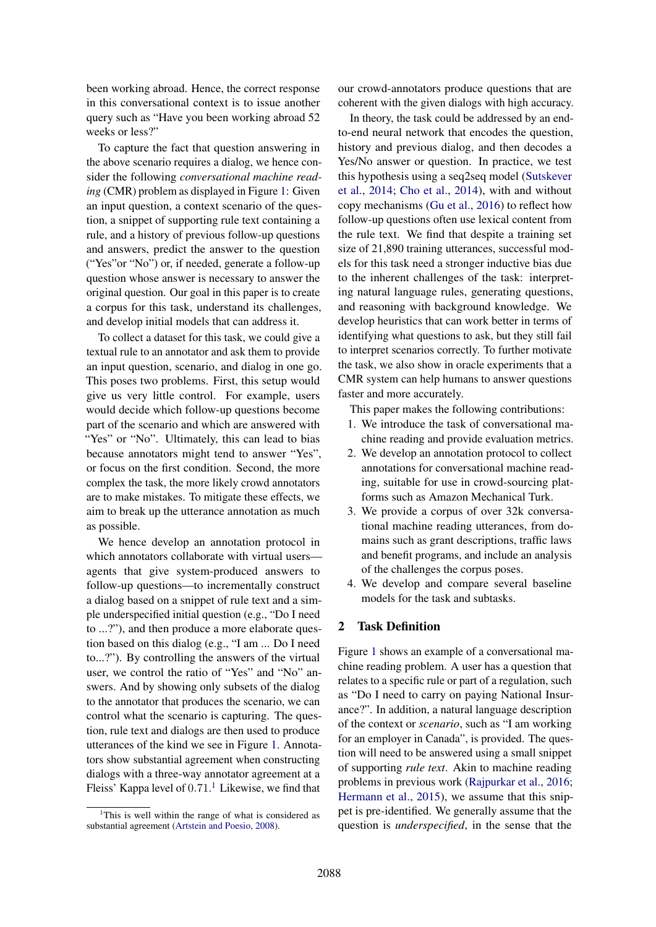been working abroad. Hence, the correct response in this conversational context is to issue another query such as "Have you been working abroad 52 weeks or less?"

To capture the fact that question answering in the above scenario requires a dialog, we hence consider the following *conversational machine reading* (CMR) problem as displayed in Figure 1: Given an input question, a context scenario of the question, a snippet of supporting rule text containing a rule, and a history of previous follow-up questions and answers, predict the answer to the question ("Yes"or "No") or, if needed, generate a follow-up question whose answer is necessary to answer the original question. Our goal in this paper is to create a corpus for this task, understand its challenges, and develop initial models that can address it.

To collect a dataset for this task, we could give a textual rule to an annotator and ask them to provide an input question, scenario, and dialog in one go. This poses two problems. First, this setup would give us very little control. For example, users would decide which follow-up questions become part of the scenario and which are answered with "Yes" or "No". Ultimately, this can lead to bias because annotators might tend to answer "Yes", or focus on the first condition. Second, the more complex the task, the more likely crowd annotators are to make mistakes. To mitigate these effects, we aim to break up the utterance annotation as much as possible.

We hence develop an annotation protocol in which annotators collaborate with virtual users agents that give system-produced answers to follow-up questions—to incrementally construct a dialog based on a snippet of rule text and a simple underspecified initial question (e.g., "Do I need to ...?"), and then produce a more elaborate question based on this dialog (e.g., "I am ... Do I need to...?"). By controlling the answers of the virtual user, we control the ratio of "Yes" and "No" answers. And by showing only subsets of the dialog to the annotator that produces the scenario, we can control what the scenario is capturing. The question, rule text and dialogs are then used to produce utterances of the kind we see in Figure 1. Annotators show substantial agreement when constructing dialogs with a three-way annotator agreement at a Fleiss' Kappa level of 0*.*71. <sup>1</sup> Likewise, we find that

our crowd-annotators produce questions that are coherent with the given dialogs with high accuracy.

In theory, the task could be addressed by an endto-end neural network that encodes the question, history and previous dialog, and then decodes a Yes/No answer or question. In practice, we test this hypothesis using a seq2seq model (Sutskever et al., 2014; Cho et al., 2014), with and without copy mechanisms (Gu et al., 2016) to reflect how follow-up questions often use lexical content from the rule text. We find that despite a training set size of 21,890 training utterances, successful models for this task need a stronger inductive bias due to the inherent challenges of the task: interpreting natural language rules, generating questions, and reasoning with background knowledge. We develop heuristics that can work better in terms of identifying what questions to ask, but they still fail to interpret scenarios correctly. To further motivate the task, we also show in oracle experiments that a CMR system can help humans to answer questions faster and more accurately.

This paper makes the following contributions:

- 1. We introduce the task of conversational machine reading and provide evaluation metrics.
- 2. We develop an annotation protocol to collect annotations for conversational machine reading, suitable for use in crowd-sourcing platforms such as Amazon Mechanical Turk.
- 3. We provide a corpus of over 32k conversational machine reading utterances, from domains such as grant descriptions, traffic laws and benefit programs, and include an analysis of the challenges the corpus poses.
- 4. We develop and compare several baseline models for the task and subtasks.

## 2 Task Definition

Figure 1 shows an example of a conversational machine reading problem. A user has a question that relates to a specific rule or part of a regulation, such as "Do I need to carry on paying National Insurance?". In addition, a natural language description of the context or *scenario*, such as "I am working for an employer in Canada", is provided. The question will need to be answered using a small snippet of supporting *rule text*. Akin to machine reading problems in previous work (Rajpurkar et al., 2016; Hermann et al., 2015), we assume that this snippet is pre-identified. We generally assume that the question is *underspecified*, in the sense that the

<sup>&</sup>lt;sup>1</sup>This is well within the range of what is considered as substantial agreement (Artstein and Poesio, 2008).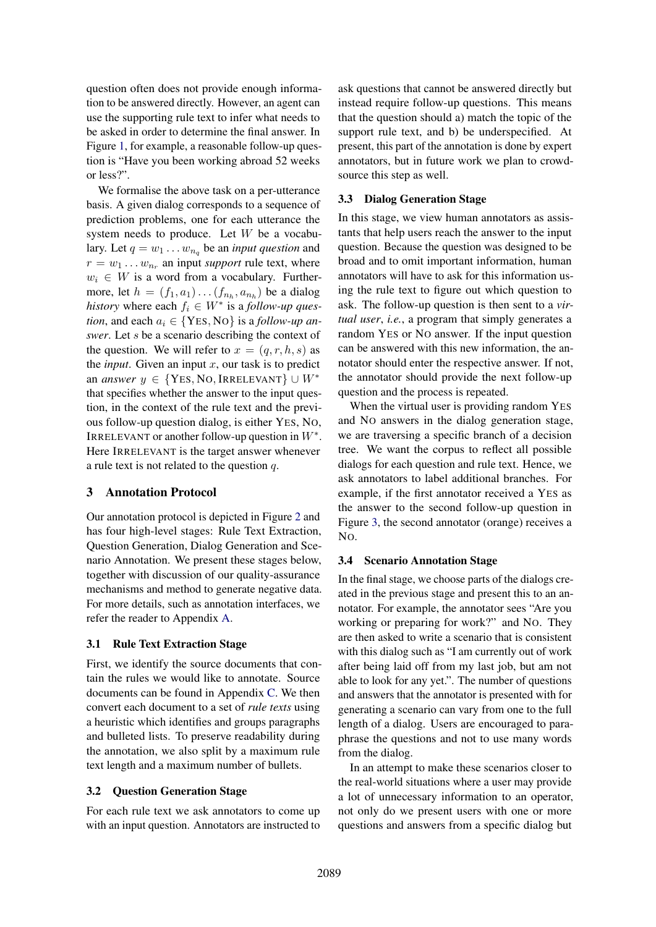question often does not provide enough information to be answered directly. However, an agent can use the supporting rule text to infer what needs to be asked in order to determine the final answer. In Figure 1, for example, a reasonable follow-up question is "Have you been working abroad 52 weeks or less?".

We formalise the above task on a per-utterance basis. A given dialog corresponds to a sequence of prediction problems, one for each utterance the system needs to produce. Let *W* be a vocabulary. Let  $q = w_1 \dots w_{n_q}$  be an *input question* and  $r = w_1 \dots w_{n_r}$  an input *support* rule text, where  $w_i \in W$  is a word from a vocabulary. Furthermore, let  $h = (f_1, a_1) \dots (f_{n_h}, a_{n_h})$  be a dialog *history* where each  $f_i \in W^*$  is a *follow-up question*, and each  $a_i \in \{YES, NO\}$  is a *follow-up answer*. Let *s* be a scenario describing the context of the question. We will refer to  $x = (q, r, h, s)$  as the *input*. Given an input *x*, our task is to predict an *answer*  $y \in \{Yes, No, IRRELEVANT\} \cup W^*$ that specifies whether the answer to the input question, in the context of the rule text and the previous follow-up question dialog, is either YES, NO, IRRELEVANT or another follow-up question in  $W^*$ . Here IRRELEVANT is the target answer whenever a rule text is not related to the question *q*.

## 3 Annotation Protocol

Our annotation protocol is depicted in Figure 2 and has four high-level stages: Rule Text Extraction, Question Generation, Dialog Generation and Scenario Annotation. We present these stages below, together with discussion of our quality-assurance mechanisms and method to generate negative data. For more details, such as annotation interfaces, we refer the reader to Appendix A.

## 3.1 Rule Text Extraction Stage

First, we identify the source documents that contain the rules we would like to annotate. Source documents can be found in Appendix C. We then convert each document to a set of *rule texts* using a heuristic which identifies and groups paragraphs and bulleted lists. To preserve readability during the annotation, we also split by a maximum rule text length and a maximum number of bullets.

## 3.2 Question Generation Stage

For each rule text we ask annotators to come up with an input question. Annotators are instructed to

ask questions that cannot be answered directly but instead require follow-up questions. This means that the question should a) match the topic of the support rule text, and b) be underspecified. At present, this part of the annotation is done by expert annotators, but in future work we plan to crowdsource this step as well.

## 3.3 Dialog Generation Stage

In this stage, we view human annotators as assistants that help users reach the answer to the input question. Because the question was designed to be broad and to omit important information, human annotators will have to ask for this information using the rule text to figure out which question to ask. The follow-up question is then sent to a *virtual user*, *i.e.*, a program that simply generates a random YES or NO answer. If the input question can be answered with this new information, the annotator should enter the respective answer. If not, the annotator should provide the next follow-up question and the process is repeated.

When the virtual user is providing random YES and NO answers in the dialog generation stage, we are traversing a specific branch of a decision tree. We want the corpus to reflect all possible dialogs for each question and rule text. Hence, we ask annotators to label additional branches. For example, if the first annotator received a YES as the answer to the second follow-up question in Figure 3, the second annotator (orange) receives a NO.

## 3.4 Scenario Annotation Stage

In the final stage, we choose parts of the dialogs created in the previous stage and present this to an annotator. For example, the annotator sees "Are you working or preparing for work?" and NO. They are then asked to write a scenario that is consistent with this dialog such as "I am currently out of work after being laid off from my last job, but am not able to look for any yet.". The number of questions and answers that the annotator is presented with for generating a scenario can vary from one to the full length of a dialog. Users are encouraged to paraphrase the questions and not to use many words from the dialog.

In an attempt to make these scenarios closer to the real-world situations where a user may provide a lot of unnecessary information to an operator, not only do we present users with one or more questions and answers from a specific dialog but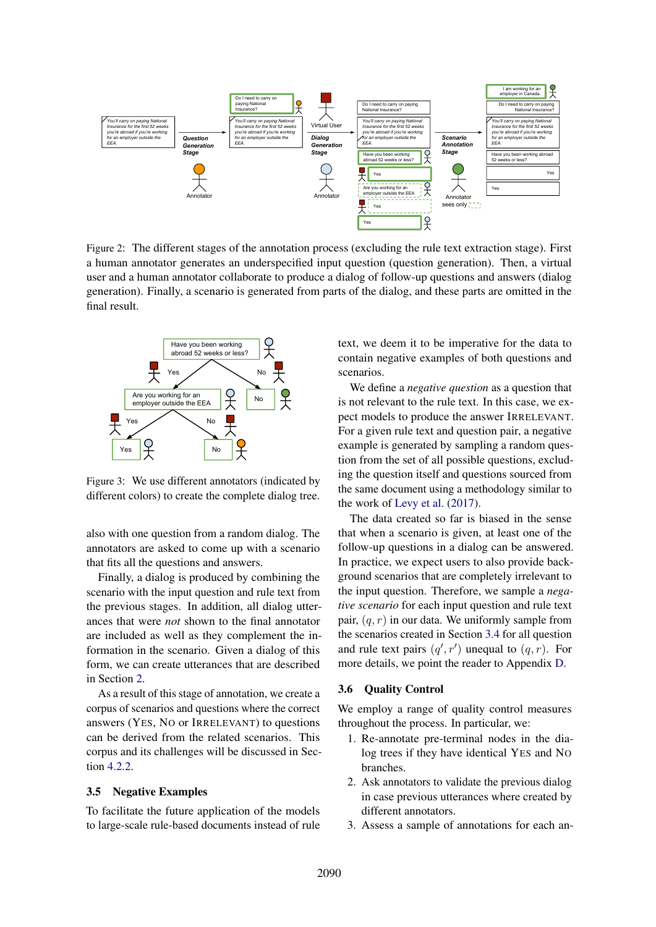

Figure 2: The different stages of the annotation process (excluding the rule text extraction stage). First a human annotator generates an underspecified input question (question generation). Then, a virtual user and a human annotator collaborate to produce a dialog of follow-up questions and answers (dialog generation). Finally, a scenario is generated from parts of the dialog, and these parts are omitted in the final result.



Figure 3: We use different annotators (indicated by different colors) to create the complete dialog tree.

also with one question from a random dialog. The annotators are asked to come up with a scenario that fits all the questions and answers.

Finally, a dialog is produced by combining the scenario with the input question and rule text from the previous stages. In addition, all dialog utterances that were *not* shown to the final annotator are included as well as they complement the information in the scenario. Given a dialog of this form, we can create utterances that are described in Section 2.

As a result of this stage of annotation, we create a corpus of scenarios and questions where the correct answers (YES, NO or IRRELEVANT) to questions can be derived from the related scenarios. This corpus and its challenges will be discussed in Section 4.2.2.

### 3.5 Negative Examples

To facilitate the future application of the models to large-scale rule-based documents instead of rule text, we deem it to be imperative for the data to contain negative examples of both questions and scenarios.

We define a *negative question* as a question that is not relevant to the rule text. In this case, we expect models to produce the answer IRRELEVANT. For a given rule text and question pair, a negative example is generated by sampling a random question from the set of all possible questions, excluding the question itself and questions sourced from the same document using a methodology similar to the work of Levy et al. (2017).

The data created so far is biased in the sense that when a scenario is given, at least one of the follow-up questions in a dialog can be answered. In practice, we expect users to also provide background scenarios that are completely irrelevant to the input question. Therefore, we sample a *negative scenario* for each input question and rule text pair, (*q, r*) in our data. We uniformly sample from the scenarios created in Section 3.4 for all question and rule text pairs  $(q', r')$  unequal to  $(q, r)$ . For more details, we point the reader to Appendix D.

#### 3.6 Quality Control

We employ a range of quality control measures throughout the process. In particular, we:

- 1. Re-annotate pre-terminal nodes in the dialog trees if they have identical YES and NO branches.
- 2. Ask annotators to validate the previous dialog in case previous utterances where created by different annotators.
- 3. Assess a sample of annotations for each an-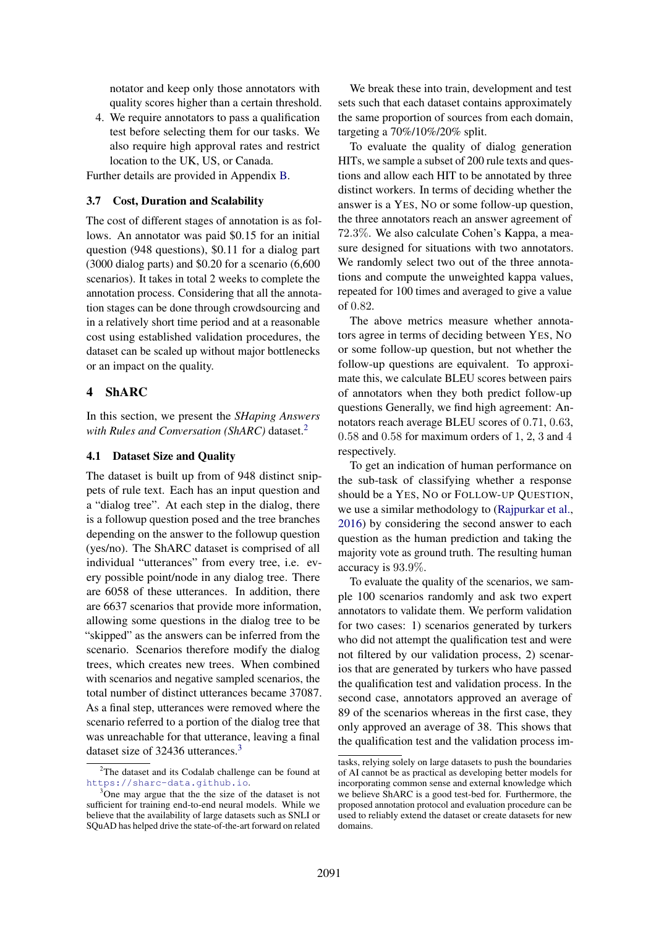notator and keep only those annotators with quality scores higher than a certain threshold.

4. We require annotators to pass a qualification test before selecting them for our tasks. We also require high approval rates and restrict location to the UK, US, or Canada.

Further details are provided in Appendix B.

## 3.7 Cost, Duration and Scalability

The cost of different stages of annotation is as follows. An annotator was paid \$0.15 for an initial question (948 questions), \$0.11 for a dialog part (3000 dialog parts) and \$0.20 for a scenario (6,600 scenarios). It takes in total 2 weeks to complete the annotation process. Considering that all the annotation stages can be done through crowdsourcing and in a relatively short time period and at a reasonable cost using established validation procedures, the dataset can be scaled up without major bottlenecks or an impact on the quality.

## 4 ShARC

In this section, we present the *SHaping Answers with Rules and Conversation (ShARC)* dataset.2

## 4.1 Dataset Size and Quality

The dataset is built up from of 948 distinct snippets of rule text. Each has an input question and a "dialog tree". At each step in the dialog, there is a followup question posed and the tree branches depending on the answer to the followup question (yes/no). The ShARC dataset is comprised of all individual "utterances" from every tree, i.e. every possible point/node in any dialog tree. There are 6058 of these utterances. In addition, there are 6637 scenarios that provide more information, allowing some questions in the dialog tree to be "skipped" as the answers can be inferred from the scenario. Scenarios therefore modify the dialog trees, which creates new trees. When combined with scenarios and negative sampled scenarios, the total number of distinct utterances became 37087. As a final step, utterances were removed where the scenario referred to a portion of the dialog tree that was unreachable for that utterance, leaving a final dataset size of 32436 utterances.<sup>3</sup>

We break these into train, development and test sets such that each dataset contains approximately the same proportion of sources from each domain, targeting a 70%/10%/20% split.

To evaluate the quality of dialog generation HITs, we sample a subset of 200 rule texts and questions and allow each HIT to be annotated by three distinct workers. In terms of deciding whether the answer is a YES, NO or some follow-up question, the three annotators reach an answer agreement of 72*.*3%. We also calculate Cohen's Kappa, a measure designed for situations with two annotators. We randomly select two out of the three annotations and compute the unweighted kappa values, repeated for 100 times and averaged to give a value of 0*.*82.

The above metrics measure whether annotators agree in terms of deciding between YES, NO or some follow-up question, but not whether the follow-up questions are equivalent. To approximate this, we calculate BLEU scores between pairs of annotators when they both predict follow-up questions Generally, we find high agreement: Annotators reach average BLEU scores of 0*.*71, 0*.*63, 0*.*58 and 0*.*58 for maximum orders of 1, 2, 3 and 4 respectively.

To get an indication of human performance on the sub-task of classifying whether a response should be a YES, NO or FOLLOW-UP QUESTION, we use a similar methodology to (Rajpurkar et al., 2016) by considering the second answer to each question as the human prediction and taking the majority vote as ground truth. The resulting human accuracy is 93*.*9%.

To evaluate the quality of the scenarios, we sample 100 scenarios randomly and ask two expert annotators to validate them. We perform validation for two cases: 1) scenarios generated by turkers who did not attempt the qualification test and were not filtered by our validation process, 2) scenarios that are generated by turkers who have passed the qualification test and validation process. In the second case, annotators approved an average of 89 of the scenarios whereas in the first case, they only approved an average of 38. This shows that the qualification test and the validation process im-

<sup>&</sup>lt;sup>2</sup>The dataset and its Codalab challenge can be found at https://sharc-data.github.io.

<sup>&</sup>lt;sup>3</sup>One may argue that the the size of the dataset is not sufficient for training end-to-end neural models. While we believe that the availability of large datasets such as SNLI or SQuAD has helped drive the state-of-the-art forward on related

tasks, relying solely on large datasets to push the boundaries of AI cannot be as practical as developing better models for incorporating common sense and external knowledge which we believe ShARC is a good test-bed for. Furthermore, the proposed annotation protocol and evaluation procedure can be used to reliably extend the dataset or create datasets for new domains.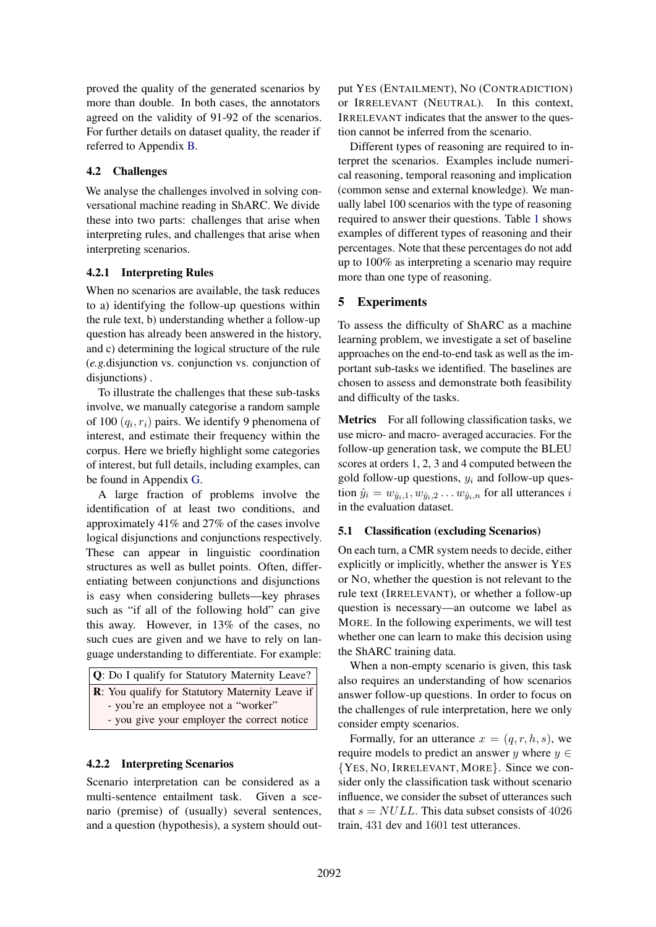proved the quality of the generated scenarios by more than double. In both cases, the annotators agreed on the validity of 91-92 of the scenarios. For further details on dataset quality, the reader if referred to Appendix B.

## 4.2 Challenges

We analyse the challenges involved in solving conversational machine reading in ShARC. We divide these into two parts: challenges that arise when interpreting rules, and challenges that arise when interpreting scenarios.

## 4.2.1 Interpreting Rules

When no scenarios are available, the task reduces to a) identifying the follow-up questions within the rule text, b) understanding whether a follow-up question has already been answered in the history, and c) determining the logical structure of the rule (*e.g.*disjunction vs. conjunction vs. conjunction of disjunctions) .

To illustrate the challenges that these sub-tasks involve, we manually categorise a random sample of 100 (*qi, ri*) pairs. We identify 9 phenomena of interest, and estimate their frequency within the corpus. Here we briefly highlight some categories of interest, but full details, including examples, can be found in Appendix G.

A large fraction of problems involve the identification of at least two conditions, and approximately 41% and 27% of the cases involve logical disjunctions and conjunctions respectively. These can appear in linguistic coordination structures as well as bullet points. Often, differentiating between conjunctions and disjunctions is easy when considering bullets—key phrases such as "if all of the following hold" can give this away. However, in 13% of the cases, no such cues are given and we have to rely on language understanding to differentiate. For example:

| <b>Q</b> : Do I qualify for Statutory Maternity Leave?  |  |
|---------------------------------------------------------|--|
| <b>R</b> : You qualify for Statutory Maternity Leave if |  |
| - you're an employee not a "worker"                     |  |
| - you give your employer the correct notice             |  |

## 4.2.2 Interpreting Scenarios

Scenario interpretation can be considered as a multi-sentence entailment task. Given a scenario (premise) of (usually) several sentences, and a question (hypothesis), a system should output YES (ENTAILMENT), NO (CONTRADICTION) or IRRELEVANT (NEUTRAL). In this context, IRRELEVANT indicates that the answer to the question cannot be inferred from the scenario.

Different types of reasoning are required to interpret the scenarios. Examples include numerical reasoning, temporal reasoning and implication (common sense and external knowledge). We manually label 100 scenarios with the type of reasoning required to answer their questions. Table 1 shows examples of different types of reasoning and their percentages. Note that these percentages do not add up to 100% as interpreting a scenario may require more than one type of reasoning.

# 5 Experiments

To assess the difficulty of ShARC as a machine learning problem, we investigate a set of baseline approaches on the end-to-end task as well as the important sub-tasks we identified. The baselines are chosen to assess and demonstrate both feasibility and difficulty of the tasks.

Metrics For all following classification tasks, we use micro- and macro- averaged accuracies. For the follow-up generation task, we compute the BLEU scores at orders 1, 2, 3 and 4 computed between the gold follow-up questions, *y<sup>i</sup>* and follow-up question  $\hat{y}_i = w_{\hat{y}_i,1}, w_{\hat{y}_i,2} \dots w_{\hat{y}_i,n}$  for all utterances *i* in the evaluation dataset.

## 5.1 Classification (excluding Scenarios)

On each turn, a CMR system needs to decide, either explicitly or implicitly, whether the answer is YES or NO, whether the question is not relevant to the rule text (IRRELEVANT), or whether a follow-up question is necessary—an outcome we label as MORE. In the following experiments, we will test whether one can learn to make this decision using the ShARC training data.

When a non-empty scenario is given, this task also requires an understanding of how scenarios answer follow-up questions. In order to focus on the challenges of rule interpretation, here we only consider empty scenarios.

Formally, for an utterance  $x = (q, r, h, s)$ , we require models to predict an answer *y* where  $y \in$ *{*YES*,* NO*,* IRRELEVANT*,* MORE*}*. Since we consider only the classification task without scenario influence, we consider the subset of utterances such that  $s = NULL$ . This data subset consists of 4026 train, 431 dev and 1601 test utterances.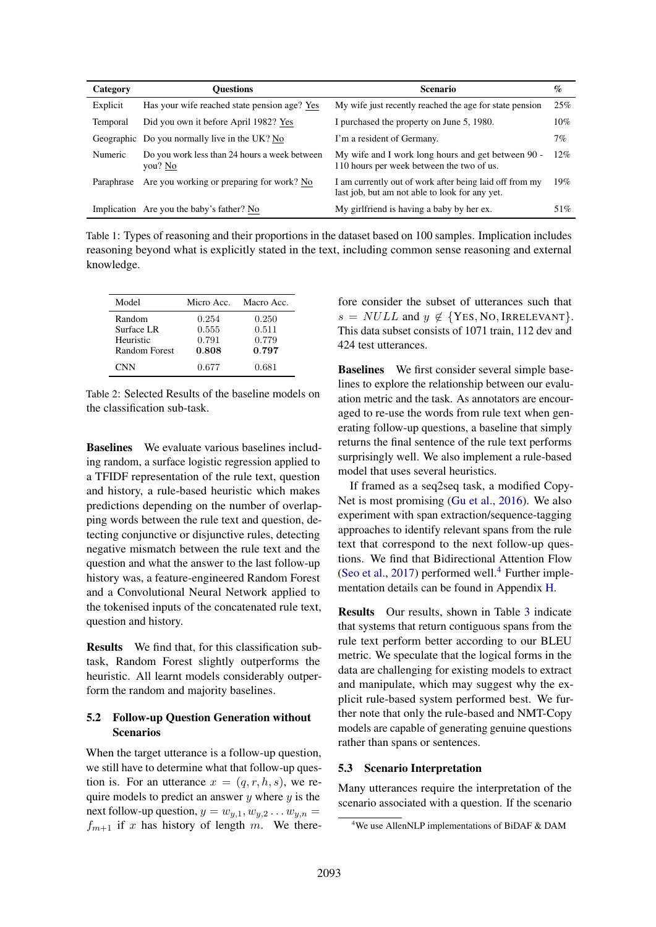| Category   | <b>Ouestions</b>                                         | <b>Scenario</b>                                                                                           | $\mathcal{G}_{\mathcal{O}}$ |
|------------|----------------------------------------------------------|-----------------------------------------------------------------------------------------------------------|-----------------------------|
| Explicit   | Has your wife reached state pension age? Yes             | My wife just recently reached the age for state pension                                                   | 25%                         |
| Temporal   | Did you own it before April 1982? Yes                    | I purchased the property on June 5, 1980.                                                                 | 10%                         |
|            | Geographic Do you normally live in the UK? No            | I'm a resident of Germany.                                                                                | 7%                          |
| Numeric    | Do you work less than 24 hours a week between<br>you? No | My wife and I work long hours and get between 90 -<br>110 hours per week between the two of us.           | 12%                         |
| Paraphrase | Are you working or preparing for work? No                | I am currently out of work after being laid off from my<br>last job, but am not able to look for any yet. | 19%                         |
|            | Implication Are you the baby's father? No                | My girlfriend is having a baby by her ex.                                                                 | 51%                         |

Table 1: Types of reasoning and their proportions in the dataset based on 100 samples. Implication includes reasoning beyond what is explicitly stated in the text, including common sense reasoning and external knowledge.

| Model         | Micro Acc. | Macro Acc. |
|---------------|------------|------------|
| Random        | 0.254      | 0.250      |
| Surface LR    | 0.555      | 0.511      |
| Heuristic     | 0.791      | 0.779      |
| Random Forest | 0.808      | 0.797      |
| <b>CNN</b>    | 0.677      | 0.681      |

Table 2: Selected Results of the baseline models on the classification sub-task.

Baselines We evaluate various baselines including random, a surface logistic regression applied to a TFIDF representation of the rule text, question and history, a rule-based heuristic which makes predictions depending on the number of overlapping words between the rule text and question, detecting conjunctive or disjunctive rules, detecting negative mismatch between the rule text and the question and what the answer to the last follow-up history was, a feature-engineered Random Forest and a Convolutional Neural Network applied to the tokenised inputs of the concatenated rule text, question and history.

Results We find that, for this classification subtask, Random Forest slightly outperforms the heuristic. All learnt models considerably outperform the random and majority baselines.

## 5.2 Follow-up Question Generation without Scenarios

When the target utterance is a follow-up question, we still have to determine what that follow-up question is. For an utterance  $x = (q, r, h, s)$ , we require models to predict an answer *y* where *y* is the next follow-up question,  $y = w_{y,1}, w_{y,2} \ldots w_{y,n} =$  $f_{m+1}$  if *x* has history of length *m*. We there-

fore consider the subset of utterances such that  $s = NULL$  and  $y \notin \{Yes, No, \text{IRRELEVANT}\}.$ This data subset consists of 1071 train, 112 dev and 424 test utterances.

Baselines We first consider several simple baselines to explore the relationship between our evaluation metric and the task. As annotators are encouraged to re-use the words from rule text when generating follow-up questions, a baseline that simply returns the final sentence of the rule text performs surprisingly well. We also implement a rule-based model that uses several heuristics.

If framed as a seq2seq task, a modified Copy-Net is most promising (Gu et al., 2016). We also experiment with span extraction/sequence-tagging approaches to identify relevant spans from the rule text that correspond to the next follow-up questions. We find that Bidirectional Attention Flow (Seo et al., 2017) performed well. $4$  Further implementation details can be found in Appendix H.

Results Our results, shown in Table 3 indicate that systems that return contiguous spans from the rule text perform better according to our BLEU metric. We speculate that the logical forms in the data are challenging for existing models to extract and manipulate, which may suggest why the explicit rule-based system performed best. We further note that only the rule-based and NMT-Copy models are capable of generating genuine questions rather than spans or sentences.

### 5.3 Scenario Interpretation

Many utterances require the interpretation of the scenario associated with a question. If the scenario

<sup>4</sup> We use AllenNLP implementations of BiDAF & DAM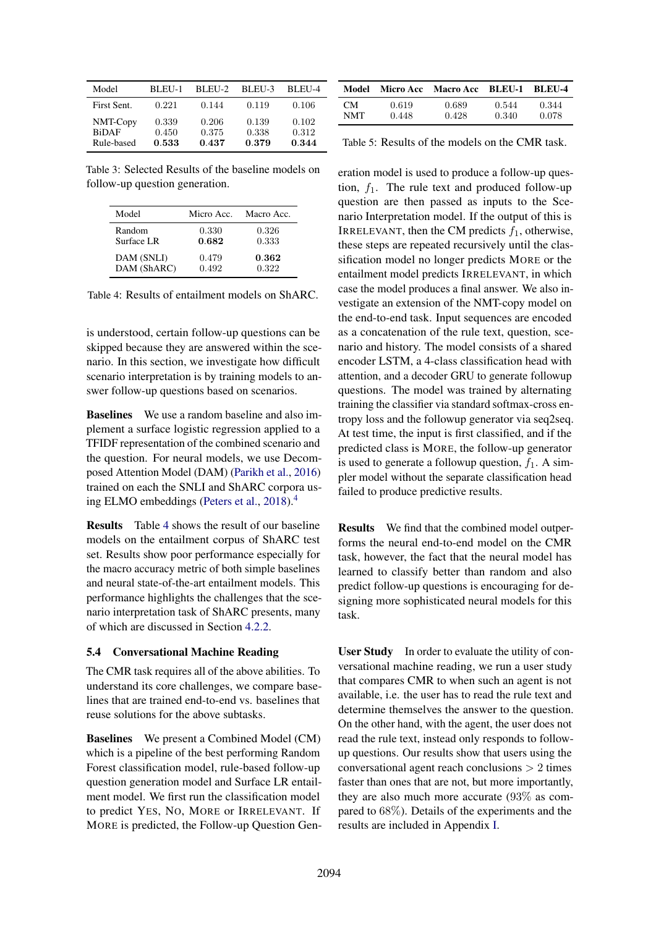| Model                                  | BLEU-1                  | BLEU-2                  | BLEU-3                  | BLEU-4                  |
|----------------------------------------|-------------------------|-------------------------|-------------------------|-------------------------|
| First Sent.                            | 0.221                   | 0.144                   | 0.119                   | 0.106                   |
| NMT-Copy<br><b>BiDAF</b><br>Rule-based | 0.339<br>0.450<br>0.533 | 0.206<br>0.375<br>0.437 | 0.139<br>0.338<br>0.379 | 0.102<br>0.312<br>0.344 |

Table 3: Selected Results of the baseline models on follow-up question generation.

| Model       | Micro Acc. | Macro Acc. |
|-------------|------------|------------|
| Random      | 0.330      | 0.326      |
| Surface LR  | 0.682      | 0.333      |
| DAM (SNLI)  | 0.479      | 0.362      |
| DAM (ShARC) | 0.492      | 0.322      |

Table 4: Results of entailment models on ShARC.

is understood, certain follow-up questions can be skipped because they are answered within the scenario. In this section, we investigate how difficult scenario interpretation is by training models to answer follow-up questions based on scenarios.

Baselines We use a random baseline and also implement a surface logistic regression applied to a TFIDF representation of the combined scenario and the question. For neural models, we use Decomposed Attention Model (DAM) (Parikh et al., 2016) trained on each the SNLI and ShARC corpora using ELMO embeddings (Peters et al., 2018).4

Results Table 4 shows the result of our baseline models on the entailment corpus of ShARC test set. Results show poor performance especially for the macro accuracy metric of both simple baselines and neural state-of-the-art entailment models. This performance highlights the challenges that the scenario interpretation task of ShARC presents, many of which are discussed in Section 4.2.2.

### 5.4 Conversational Machine Reading

The CMR task requires all of the above abilities. To understand its core challenges, we compare baselines that are trained end-to-end vs. baselines that reuse solutions for the above subtasks.

Baselines We present a Combined Model (CM) which is a pipeline of the best performing Random Forest classification model, rule-based follow-up question generation model and Surface LR entailment model. We first run the classification model to predict YES, NO, MORE or IRRELEVANT. If MORE is predicted, the Follow-up Question Gen-

| Model      | Micro Acc | <b>Macro Acc</b> | BLEU-1 | <b>BLEU-4</b> |
|------------|-----------|------------------|--------|---------------|
| CM.        | 0.619     | 0.689            | 0.544  | 0.344         |
| <b>NMT</b> | 0.448     | 0.428            | 0.340  | 0.078         |

Table 5: Results of the models on the CMR task.

eration model is used to produce a follow-up question, *f*1. The rule text and produced follow-up question are then passed as inputs to the Scenario Interpretation model. If the output of this is IRRELEVANT, then the CM predicts  $f_1$ , otherwise, these steps are repeated recursively until the classification model no longer predicts MORE or the entailment model predicts IRRELEVANT, in which case the model produces a final answer. We also investigate an extension of the NMT-copy model on the end-to-end task. Input sequences are encoded as a concatenation of the rule text, question, scenario and history. The model consists of a shared encoder LSTM, a 4-class classification head with attention, and a decoder GRU to generate followup questions. The model was trained by alternating training the classifier via standard softmax-cross entropy loss and the followup generator via seq2seq. At test time, the input is first classified, and if the predicted class is MORE, the follow-up generator is used to generate a followup question,  $f_1$ . A simpler model without the separate classification head failed to produce predictive results.

Results We find that the combined model outperforms the neural end-to-end model on the CMR task, however, the fact that the neural model has learned to classify better than random and also predict follow-up questions is encouraging for designing more sophisticated neural models for this task.

User Study In order to evaluate the utility of conversational machine reading, we run a user study that compares CMR to when such an agent is not available, i.e. the user has to read the rule text and determine themselves the answer to the question. On the other hand, with the agent, the user does not read the rule text, instead only responds to followup questions. Our results show that users using the conversational agent reach conclusions *>* 2 times faster than ones that are not, but more importantly, they are also much more accurate (93% as compared to 68%). Details of the experiments and the results are included in Appendix I.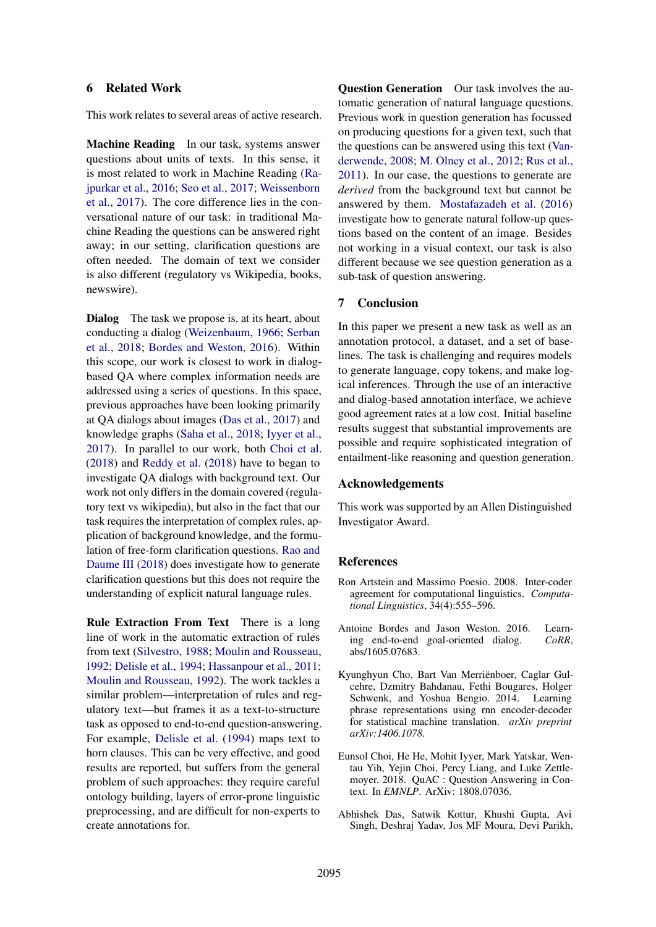## 6 Related Work

This work relates to several areas of active research.

Machine Reading In our task, systems answer questions about units of texts. In this sense, it is most related to work in Machine Reading (Rajpurkar et al., 2016; Seo et al., 2017; Weissenborn et al., 2017). The core difference lies in the conversational nature of our task: in traditional Machine Reading the questions can be answered right away; in our setting, clarification questions are often needed. The domain of text we consider is also different (regulatory vs Wikipedia, books, newswire).

Dialog The task we propose is, at its heart, about conducting a dialog (Weizenbaum, 1966; Serban et al., 2018; Bordes and Weston, 2016). Within this scope, our work is closest to work in dialogbased QA where complex information needs are addressed using a series of questions. In this space, previous approaches have been looking primarily at QA dialogs about images (Das et al., 2017) and knowledge graphs (Saha et al., 2018; Iyyer et al., 2017). In parallel to our work, both Choi et al. (2018) and Reddy et al. (2018) have to began to investigate QA dialogs with background text. Our work not only differs in the domain covered (regulatory text vs wikipedia), but also in the fact that our task requires the interpretation of complex rules, application of background knowledge, and the formulation of free-form clarification questions. Rao and Daume III (2018) does investigate how to generate clarification questions but this does not require the understanding of explicit natural language rules.

Rule Extraction From Text There is a long line of work in the automatic extraction of rules from text (Silvestro, 1988; Moulin and Rousseau, 1992; Delisle et al., 1994; Hassanpour et al., 2011; Moulin and Rousseau, 1992). The work tackles a similar problem—interpretation of rules and regulatory text—but frames it as a text-to-structure task as opposed to end-to-end question-answering. For example, Delisle et al. (1994) maps text to horn clauses. This can be very effective, and good results are reported, but suffers from the general problem of such approaches: they require careful ontology building, layers of error-prone linguistic preprocessing, and are difficult for non-experts to create annotations for.

Question Generation Our task involves the automatic generation of natural language questions. Previous work in question generation has focussed on producing questions for a given text, such that the questions can be answered using this text (Vanderwende, 2008; M. Olney et al., 2012; Rus et al., 2011). In our case, the questions to generate are *derived* from the background text but cannot be answered by them. Mostafazadeh et al. (2016) investigate how to generate natural follow-up questions based on the content of an image. Besides not working in a visual context, our task is also different because we see question generation as a sub-task of question answering.

#### 7 Conclusion

In this paper we present a new task as well as an annotation protocol, a dataset, and a set of baselines. The task is challenging and requires models to generate language, copy tokens, and make logical inferences. Through the use of an interactive and dialog-based annotation interface, we achieve good agreement rates at a low cost. Initial baseline results suggest that substantial improvements are possible and require sophisticated integration of entailment-like reasoning and question generation.

#### Acknowledgements

This work was supported by an Allen Distinguished Investigator Award.

#### References

- Ron Artstein and Massimo Poesio. 2008. Inter-coder agreement for computational linguistics. *Computational Linguistics*, 34(4):555–596.
- Antoine Bordes and Jason Weston. 2016. Learning end-to-end goal-oriented dialog. *CoRR*, abs/1605.07683.
- Kyunghyun Cho, Bart Van Merrienboer, Caglar Gul- ¨ cehre, Dzmitry Bahdanau, Fethi Bougares, Holger Schwenk, and Yoshua Bengio. 2014. Learning phrase representations using rnn encoder-decoder for statistical machine translation. *arXiv preprint arXiv:1406.1078*.
- Eunsol Choi, He He, Mohit Iyyer, Mark Yatskar, Wentau Yih, Yejin Choi, Percy Liang, and Luke Zettlemoyer. 2018. QuAC : Question Answering in Context. In *EMNLP*. ArXiv: 1808.07036.
- Abhishek Das, Satwik Kottur, Khushi Gupta, Avi Singh, Deshraj Yadav, Jos MF Moura, Devi Parikh,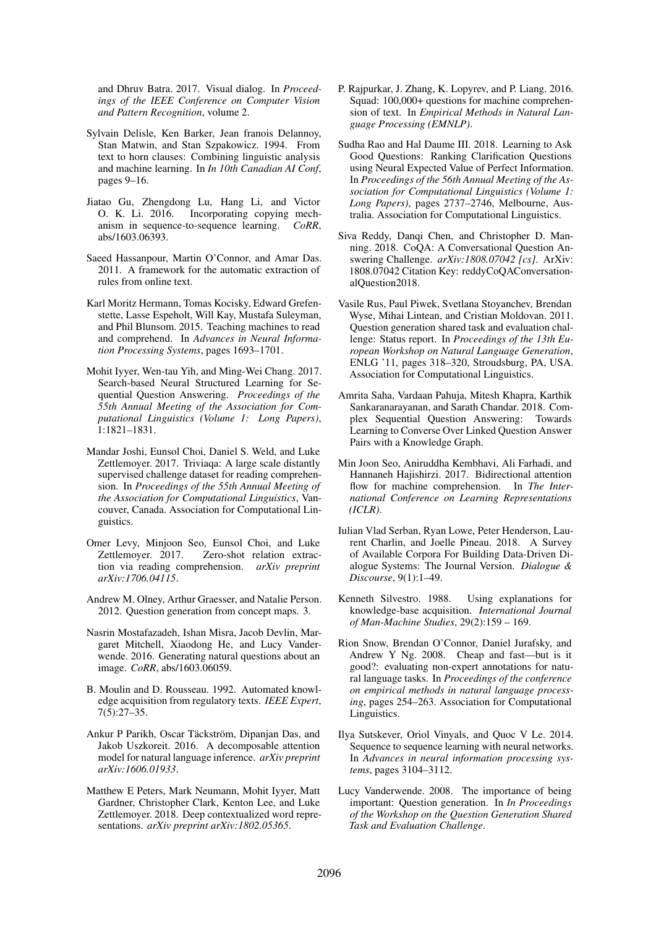and Dhruv Batra. 2017. Visual dialog. In *Proceedings of the IEEE Conference on Computer Vision and Pattern Recognition*, volume 2.

- Sylvain Delisle, Ken Barker, Jean franois Delannoy, Stan Matwin, and Stan Szpakowicz. 1994. From text to horn clauses: Combining linguistic analysis and machine learning. In *In 10th Canadian AI Conf*, pages 9–16.
- Jiatao Gu, Zhengdong Lu, Hang Li, and Victor O. K. Li. 2016. Incorporating copying mechanism in sequence-to-sequence learning. *CoRR*, abs/1603.06393.
- Saeed Hassanpour, Martin O'Connor, and Amar Das. 2011. A framework for the automatic extraction of rules from online text.
- Karl Moritz Hermann, Tomas Kocisky, Edward Grefenstette, Lasse Espeholt, Will Kay, Mustafa Suleyman, and Phil Blunsom. 2015. Teaching machines to read and comprehend. In *Advances in Neural Information Processing Systems*, pages 1693–1701.
- Mohit Iyyer, Wen-tau Yih, and Ming-Wei Chang. 2017. Search-based Neural Structured Learning for Sequential Question Answering. *Proceedings of the 55th Annual Meeting of the Association for Computational Linguistics (Volume 1: Long Papers)*, 1:1821–1831.
- Mandar Joshi, Eunsol Choi, Daniel S. Weld, and Luke Zettlemoyer. 2017. Triviaqa: A large scale distantly supervised challenge dataset for reading comprehension. In *Proceedings of the 55th Annual Meeting of the Association for Computational Linguistics*, Vancouver, Canada. Association for Computational Linguistics.
- Omer Levy, Minjoon Seo, Eunsol Choi, and Luke Zettlemoyer. 2017. Zero-shot relation extraction via reading comprehension. *arXiv preprint arXiv:1706.04115*.
- Andrew M. Olney, Arthur Graesser, and Natalie Person. 2012. Question generation from concept maps. 3.
- Nasrin Mostafazadeh, Ishan Misra, Jacob Devlin, Margaret Mitchell, Xiaodong He, and Lucy Vanderwende. 2016. Generating natural questions about an image. *CoRR*, abs/1603.06059.
- B. Moulin and D. Rousseau. 1992. Automated knowledge acquisition from regulatory texts. *IEEE Expert*, 7(5):27–35.
- Ankur P Parikh, Oscar Täckström, Dipanjan Das, and Jakob Uszkoreit. 2016. A decomposable attention model for natural language inference. *arXiv preprint arXiv:1606.01933*.
- Matthew E Peters, Mark Neumann, Mohit Iyyer, Matt Gardner, Christopher Clark, Kenton Lee, and Luke Zettlemoyer. 2018. Deep contextualized word representations. *arXiv preprint arXiv:1802.05365*.
- P. Rajpurkar, J. Zhang, K. Lopyrev, and P. Liang. 2016. Squad: 100,000+ questions for machine comprehension of text. In *Empirical Methods in Natural Language Processing (EMNLP)*.
- Sudha Rao and Hal Daume III. 2018. Learning to Ask Good Questions: Ranking Clarification Questions using Neural Expected Value of Perfect Information. In *Proceedings of the 56th Annual Meeting of the Association for Computational Linguistics (Volume 1: Long Papers)*, pages 2737–2746, Melbourne, Australia. Association for Computational Linguistics.
- Siva Reddy, Danqi Chen, and Christopher D. Manning. 2018. CoQA: A Conversational Question Answering Challenge. *arXiv:1808.07042 [cs]*. ArXiv: 1808.07042 Citation Key: reddyCoQAConversationalQuestion2018.
- Vasile Rus, Paul Piwek, Svetlana Stoyanchev, Brendan Wyse, Mihai Lintean, and Cristian Moldovan. 2011. Question generation shared task and evaluation challenge: Status report. In *Proceedings of the 13th European Workshop on Natural Language Generation*, ENLG '11, pages 318–320, Stroudsburg, PA, USA. Association for Computational Linguistics.
- Amrita Saha, Vardaan Pahuja, Mitesh Khapra, Karthik Sankaranarayanan, and Sarath Chandar. 2018. Complex Sequential Question Answering: Towards Learning to Converse Over Linked Question Answer Pairs with a Knowledge Graph.
- Min Joon Seo, Aniruddha Kembhavi, Ali Farhadi, and Hannaneh Hajishirzi. 2017. Bidirectional attention flow for machine comprehension. In *The International Conference on Learning Representations (ICLR)*.
- Iulian Vlad Serban, Ryan Lowe, Peter Henderson, Laurent Charlin, and Joelle Pineau. 2018. A Survey of Available Corpora For Building Data-Driven Dialogue Systems: The Journal Version. *Dialogue & Discourse*, 9(1):1–49.
- Kenneth Silvestro. 1988. Using explanations for knowledge-base acquisition. *International Journal of Man-Machine Studies*, 29(2):159 – 169.
- Rion Snow, Brendan O'Connor, Daniel Jurafsky, and Andrew Y Ng. 2008. Cheap and fast—but is it good?: evaluating non-expert annotations for natural language tasks. In *Proceedings of the conference on empirical methods in natural language processing*, pages 254–263. Association for Computational Linguistics.
- Ilya Sutskever, Oriol Vinyals, and Quoc V Le. 2014. Sequence to sequence learning with neural networks. In *Advances in neural information processing systems*, pages 3104–3112.
- Lucy Vanderwende. 2008. The importance of being important: Question generation. In *In Proceedings of the Workshop on the Question Generation Shared Task and Evaluation Challenge*.